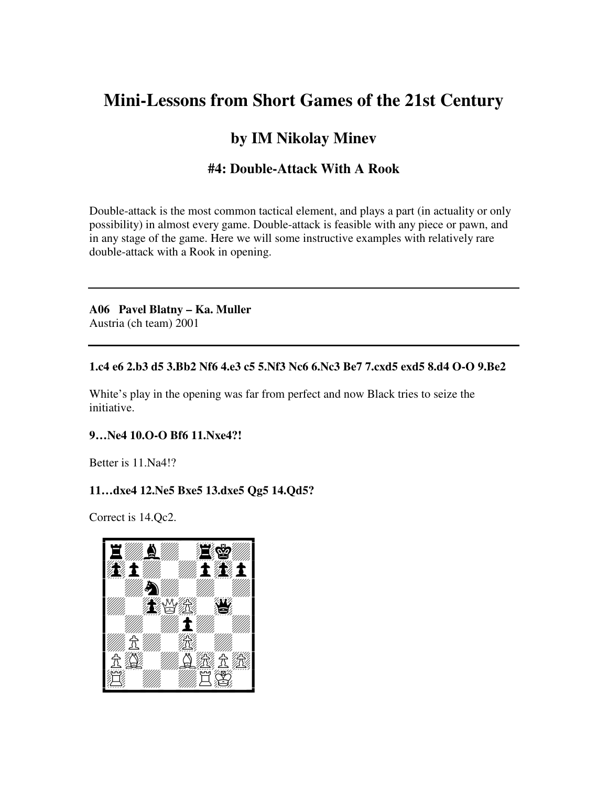# **Mini-Lessons from Short Games of the 21st Century**

# **by IM Nikolay Minev**

# **#4: Double-Attack With A Rook**

Double-attack is the most common tactical element, and plays a part (in actuality or only possibility) in almost every game. Double-attack is feasible with any piece or pawn, and in any stage of the game. Here we will some instructive examples with relatively rare double-attack with a Rook in opening.

**A06 Pavel Blatny – Ka. Muller**  Austria (ch team) 2001

#### **1.c4 e6 2.b3 d5 3.Bb2 Nf6 4.e3 c5 5.Nf3 Nc6 6.Nc3 Be7 7.cxd5 exd5 8.d4 O-O 9.Be2**

White's play in the opening was far from perfect and now Black tries to seize the initiative.

#### **9…Ne4 10.O-O Bf6 11.Nxe4?!**

Better is 11.Na4!?

#### **11…dxe4 12.Ne5 Bxe5 13.dxe5 Qg5 14.Qd5?**

Correct is 14.Qc2.

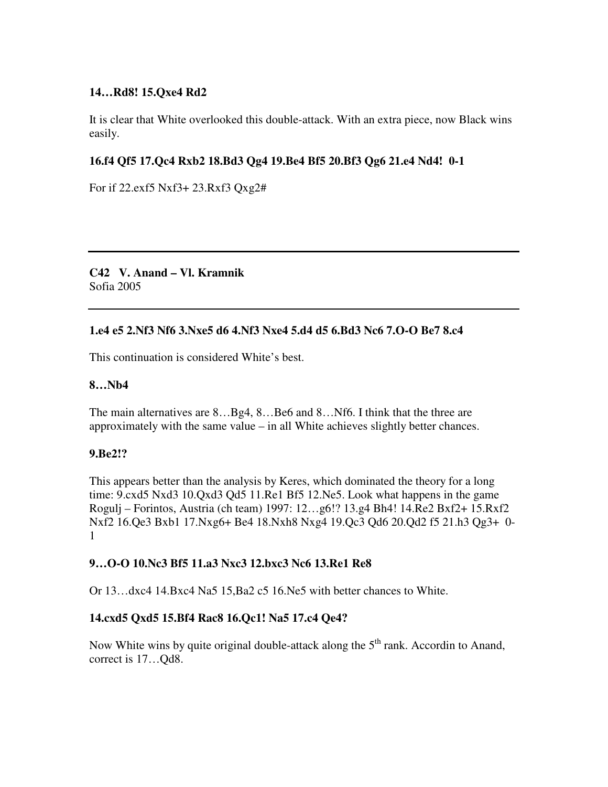#### **14…Rd8! 15.Qxe4 Rd2**

It is clear that White overlooked this double-attack. With an extra piece, now Black wins easily.

### **16.f4 Qf5 17.Qc4 Rxb2 18.Bd3 Qg4 19.Be4 Bf5 20.Bf3 Qg6 21.e4 Nd4! 0-1**

For if 22.exf5 Nxf3+ 23.Rxf3 Qxg2#

**C42 V. Anand – Vl. Kramnik**  Sofia 2005

#### **1.e4 e5 2.Nf3 Nf6 3.Nxe5 d6 4.Nf3 Nxe4 5.d4 d5 6.Bd3 Nc6 7.O-O Be7 8.c4**

This continuation is considered White's best.

#### **8…Nb4**

The main alternatives are 8...Bg4, 8...Be6 and 8...Nf6. I think that the three are approximately with the same value – in all White achieves slightly better chances.

#### **9.Be2!?**

This appears better than the analysis by Keres, which dominated the theory for a long time: 9.cxd5 Nxd3 10.Qxd3 Qd5 11.Re1 Bf5 12.Ne5. Look what happens in the game Rogulj – Forintos, Austria (ch team) 1997: 12…g6!? 13.g4 Bh4! 14.Re2 Bxf2+ 15.Rxf2 Nxf2 16.Qe3 Bxb1 17.Nxg6+ Be4 18.Nxh8 Nxg4 19.Qc3 Qd6 20.Qd2 f5 21.h3 Qg3+ 0- 1

#### **9…O-O 10.Nc3 Bf5 11.a3 Nxc3 12.bxc3 Nc6 13.Re1 Re8**

Or 13…dxc4 14.Bxc4 Na5 15,Ba2 c5 16.Ne5 with better chances to White.

#### **14.cxd5 Qxd5 15.Bf4 Rac8 16.Qc1! Na5 17.c4 Qe4?**

Now White wins by quite original double-attack along the  $5<sup>th</sup>$  rank. Accordin to Anand, correct is 17…Qd8.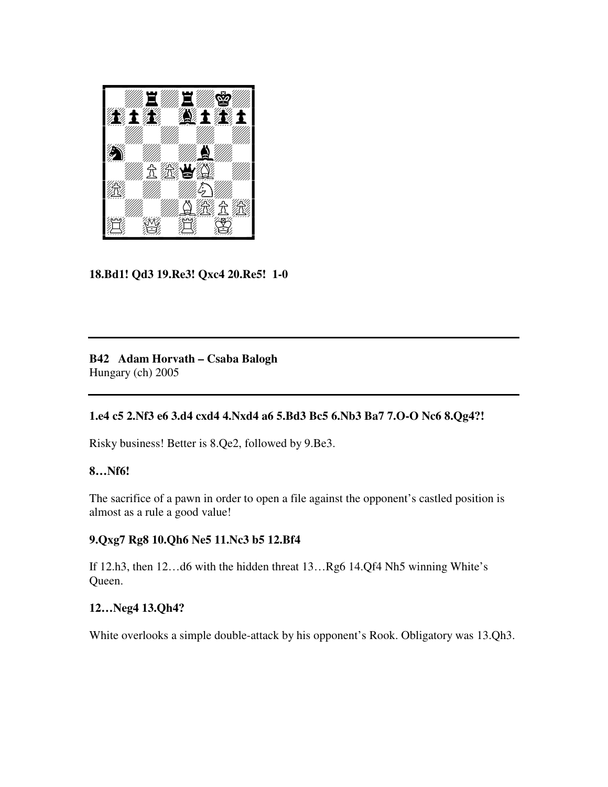

## **18.Bd1! Qd3 19.Re3! Qxc4 20.Re5! 1-0**

**B42 Adam Horvath – Csaba Balogh**  Hungary (ch) 2005

#### **1.e4 c5 2.Nf3 e6 3.d4 cxd4 4.Nxd4 a6 5.Bd3 Bc5 6.Nb3 Ba7 7.O-O Nc6 8.Qg4?!**

Risky business! Better is 8.Qe2, followed by 9.Be3.

#### **8…Nf6!**

The sacrifice of a pawn in order to open a file against the opponent's castled position is almost as a rule a good value!

#### **9.Qxg7 Rg8 10.Qh6 Ne5 11.Nc3 b5 12.Bf4**

If 12.h3, then 12…d6 with the hidden threat 13…Rg6 14.Qf4 Nh5 winning White's Queen.

#### **12…Neg4 13.Qh4?**

White overlooks a simple double-attack by his opponent's Rook. Obligatory was 13.Qh3.